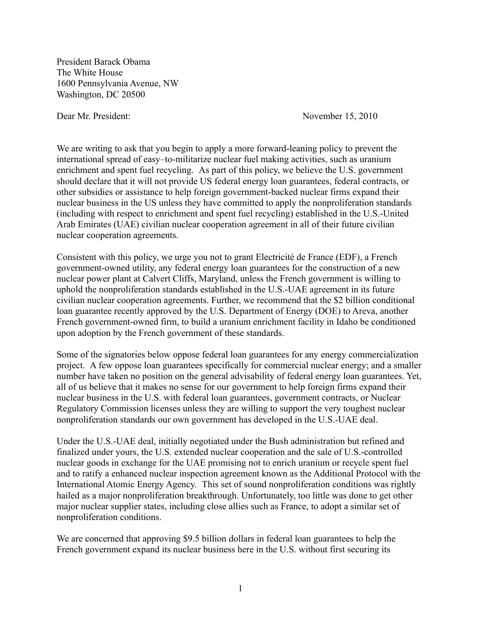President Barack Obama The White House 1600 Pennsylvania Avenue, NW Washington, DC 20500

Dear Mr. President: November 15, 2010

We are writing to ask that you begin to apply a more forward-leaning policy to prevent the international spread of easy–to-militarize nuclear fuel making activities, such as uranium enrichment and spent fuel recycling. As part of this policy, we believe the U.S. government should declare that it will not provide US federal energy loan guarantees, federal contracts, or other subsidies or assistance to help foreign government-backed nuclear firms expand their nuclear business in the US unless they have committed to apply the nonproliferation standards (including with respect to enrichment and spent fuel recycling) established in the U.S.-United Arab Emirates (UAE) civilian nuclear cooperation agreement in all of their future civilian nuclear cooperation agreements.

Consistent with this policy, we urge you not to grant Electricité de France (EDF), a French government-owned utility, any federal energy loan guarantees for the construction of a new nuclear power plant at Calvert Cliffs, Maryland, unless the French government is willing to uphold the nonproliferation standards established in the U.S.-UAE agreement in its future civilian nuclear cooperation agreements. Further, we recommend that the \$2 billion conditional loan guarantee recently approved by the U.S. Department of Energy (DOE) to Areva, another French government-owned firm, to build a uranium enrichment facility in Idaho be conditioned upon adoption by the French government of these standards.

Some of the signatories below oppose federal loan guarantees for any energy commercialization project. A few oppose loan guarantees specifically for commercial nuclear energy; and a smaller number have taken no position on the general advisability of federal energy loan guarantees. Yet, all of us believe that it makes no sense for our government to help foreign firms expand their nuclear business in the U.S. with federal loan guarantees, government contracts, or Nuclear Regulatory Commission licenses unless they are willing to support the very toughest nuclear nonproliferation standards our own government has developed in the U.S.-UAE deal.

Under the U.S.-UAE deal, initially negotiated under the Bush administration but refined and finalized under yours, the U.S. extended nuclear cooperation and the sale of U.S.-controlled nuclear goods in exchange for the UAE promising not to enrich uranium or recycle spent fuel and to ratify a enhanced nuclear inspection agreement known as the Additional Protocol with the International Atomic Energy Agency. This set of sound nonproliferation conditions was rightly hailed as a major nonproliferation breakthrough. Unfortunately, too little was done to get other major nuclear supplier states, including close allies such as France, to adopt a similar set of nonproliferation conditions.

We are concerned that approving \$9.5 billion dollars in federal loan guarantees to help the French government expand its nuclear business here in the U.S. without first securing its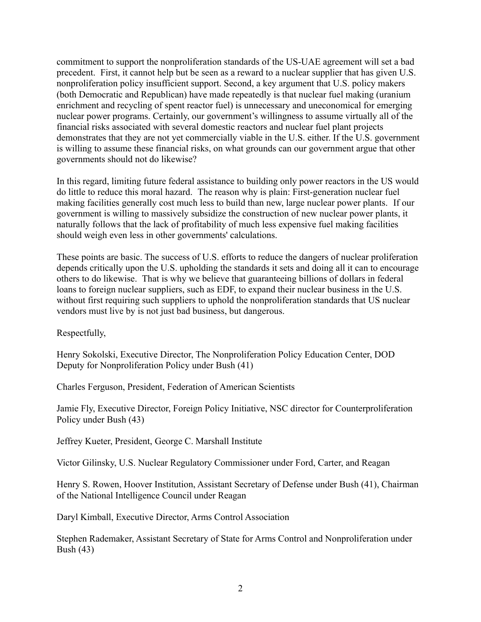commitment to support the nonproliferation standards of the US-UAE agreement will set a bad precedent. First, it cannot help but be seen as a reward to a nuclear supplier that has given U.S. nonproliferation policy insufficient support. Second, a key argument that U.S. policy makers (both Democratic and Republican) have made repeatedly is that nuclear fuel making (uranium enrichment and recycling of spent reactor fuel) is unnecessary and uneconomical for emerging nuclear power programs. Certainly, our government's willingness to assume virtually all of the financial risks associated with several domestic reactors and nuclear fuel plant projects demonstrates that they are not yet commercially viable in the U.S. either. If the U.S. government is willing to assume these financial risks, on what grounds can our government argue that other governments should not do likewise?

In this regard, limiting future federal assistance to building only power reactors in the US would do little to reduce this moral hazard. The reason why is plain: First-generation nuclear fuel making facilities generally cost much less to build than new, large nuclear power plants. If our government is willing to massively subsidize the construction of new nuclear power plants, it naturally follows that the lack of profitability of much less expensive fuel making facilities should weigh even less in other governments' calculations.

These points are basic. The success of U.S. efforts to reduce the dangers of nuclear proliferation depends critically upon the U.S. upholding the standards it sets and doing all it can to encourage others to do likewise. That is why we believe that guaranteeing billions of dollars in federal loans to foreign nuclear suppliers, such as EDF, to expand their nuclear business in the U.S. without first requiring such suppliers to uphold the nonproliferation standards that US nuclear vendors must live by is not just bad business, but dangerous.

Respectfully,

Henry Sokolski, Executive Director, The Nonproliferation Policy Education Center, DOD Deputy for Nonproliferation Policy under Bush (41)

Charles Ferguson, President, Federation of American Scientists

Jamie Fly, Executive Director, Foreign Policy Initiative, NSC director for Counterproliferation Policy under Bush (43)

Jeffrey Kueter, President, George C. Marshall Institute

Victor Gilinsky, U.S. Nuclear Regulatory Commissioner under Ford, Carter, and Reagan

Henry S. Rowen, Hoover Institution, Assistant Secretary of Defense under Bush (41), Chairman of the National Intelligence Council under Reagan

Daryl Kimball, Executive Director, Arms Control Association

Stephen Rademaker, Assistant Secretary of State for Arms Control and Nonproliferation under Bush (43)